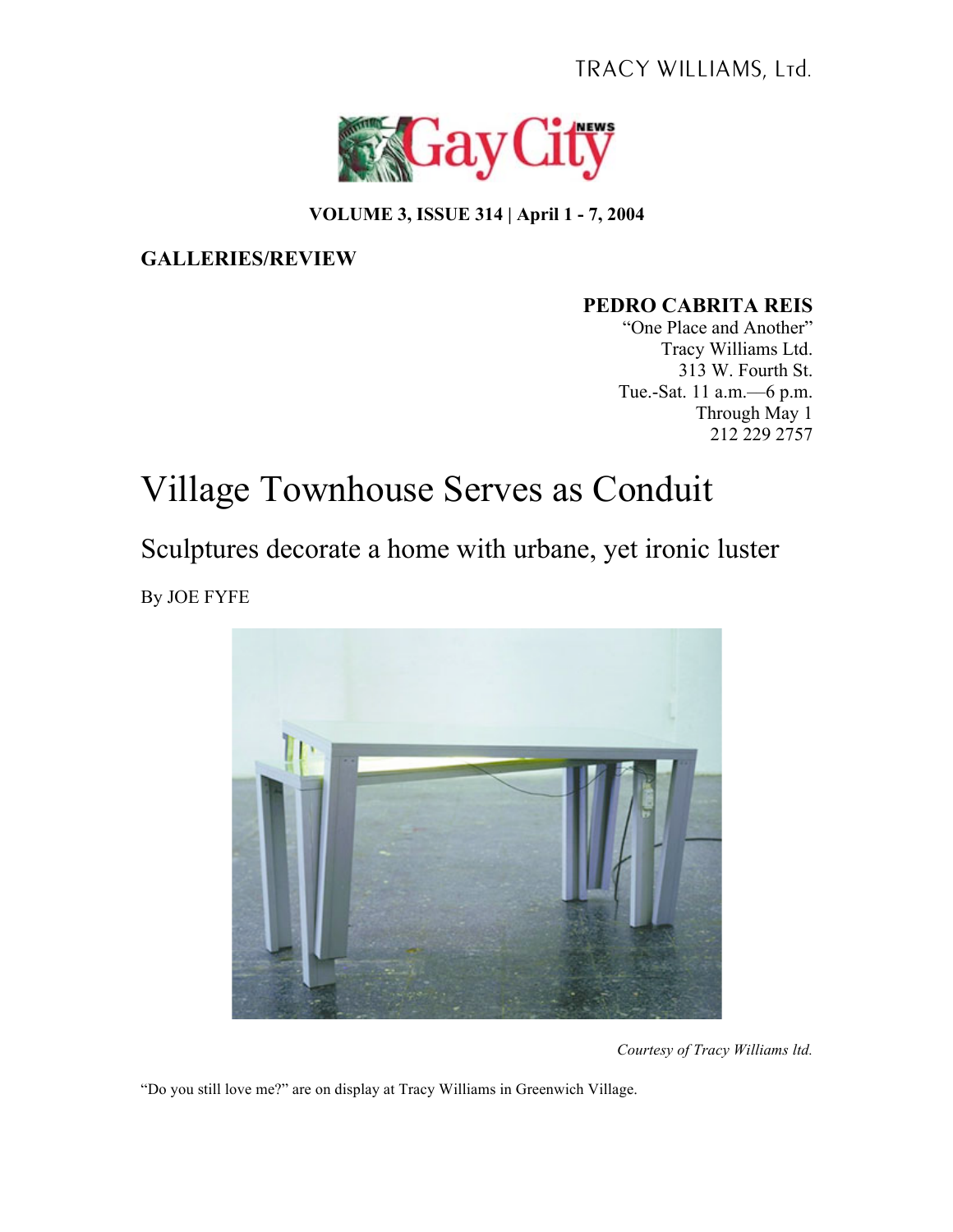TRACY WILLIAMS, Ltd.



## **VOLUME 3, ISSUE 314 | April 1 - 7, 2004**

## **GALLERIES/REVIEW**

## **PEDRO CABRITA REIS**

"One Place and Another" Tracy Williams Ltd. 313 W. Fourth St. Tue.-Sat. 11 a.m.––6 p.m. Through May 1 212 229 2757

## Village Townhouse Serves as Conduit

Sculptures decorate a home with urbane, yet ironic luster By JOE FYFE



*Courtesy of Tracy Williams ltd.*

"Do you still love me?" are on display at Tracy Williams in Greenwich Village.